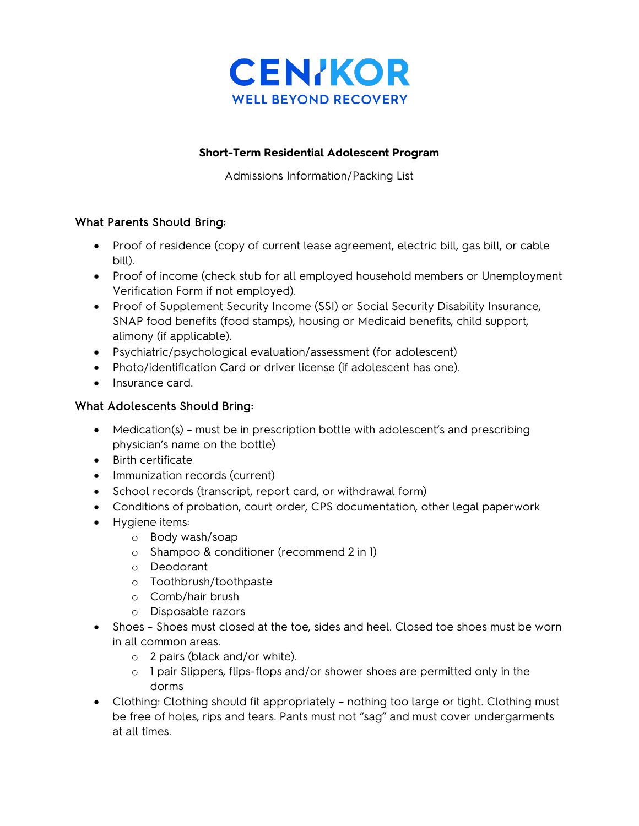

#### **Short-Term Residential Adolescent Program**

Admissions Information/Packing List

### What Parents Should Bring:

- Proof of residence (copy of current lease agreement, electric bill, gas bill, or cable bill).
- Proof of income (check stub for all employed household members or Unemployment Verification Form if not employed).
- Proof of Supplement Security Income (SSI) or Social Security Disability Insurance, SNAP food benefits (food stamps), housing or Medicaid benefits, child support, alimony (if applicable).
- Psychiatric/psychological evaluation/assessment (for adolescent)
- Photo/identification Card or driver license (if adolescent has one).
- Insurance card.

### What Adolescents Should Bring:

- Medication(s) must be in prescription bottle with adolescent's and prescribing physician's name on the bottle)
- Birth certificate
- Immunization records (current)
- School records (transcript, report card, or withdrawal form)
- Conditions of probation, court order, CPS documentation, other legal paperwork
- Hygiene items:
	- o Body wash/soap
	- o Shampoo & conditioner (recommend 2 in 1)
	- o Deodorant
	- o Toothbrush/toothpaste
	- o Comb/hair brush
	- o Disposable razors
- Shoes Shoes must closed at the toe, sides and heel. Closed toe shoes must be worn in all common areas.
	- o 2 pairs (black and/or white).
	- o 1 pair Slippers, flips-flops and/or shower shoes are permitted only in the dorms
- Clothing: Clothing should fit appropriately nothing too large or tight. Clothing must be free of holes, rips and tears. Pants must not "sag" and must cover undergarments at all times.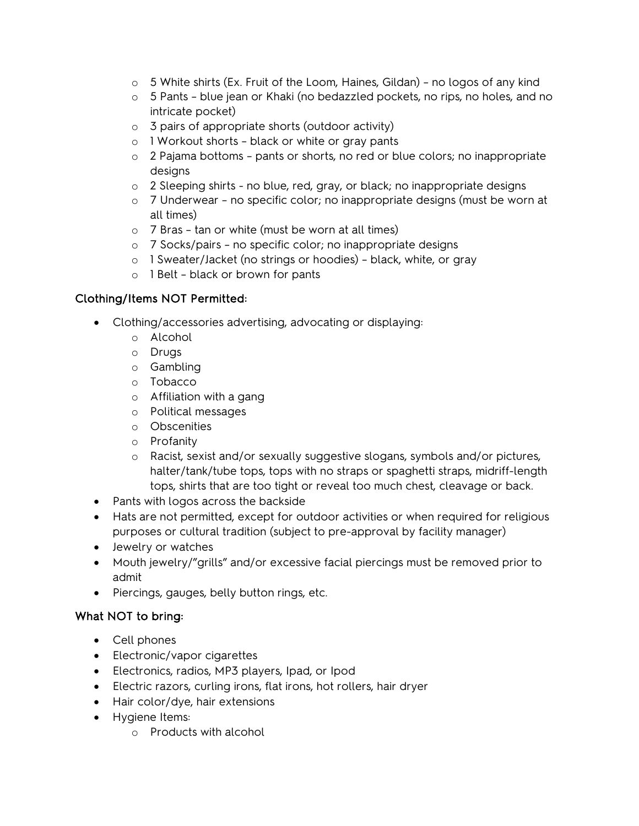- $\circ$  5 White shirts (Ex. Fruit of the Loom, Haines, Gildan) no logos of any kind
- o 5 Pants blue jean or Khaki (no bedazzled pockets, no rips, no holes, and no intricate pocket)
- o 3 pairs of appropriate shorts (outdoor activity)
- o 1 Workout shorts black or white or gray pants
- $\circ$  2 Pajama bottoms pants or shorts, no red or blue colors; no inappropriate designs
- $\circ$  2 Sleeping shirts no blue, red, gray, or black; no inappropriate designs
- o 7 Underwear no specific color; no inappropriate designs (must be worn at all times)
- o 7 Bras tan or white (must be worn at all times)
- o 7 Socks/pairs no specific color; no inappropriate designs
- o 1 Sweater/Jacket (no strings or hoodies) black, white, or gray
- o 1 Belt black or brown for pants

# Clothing/Items NOT Permitted:

- Clothing/accessories advertising, advocating or displaying:
	- o Alcohol
	- o Drugs
	- o Gambling
	- o Tobacco
	- o Affiliation with a gang
	- o Political messages
	- o Obscenities
	- o Profanity
	- o Racist, sexist and/or sexually suggestive slogans, symbols and/or pictures, halter/tank/tube tops, tops with no straps or spaghetti straps, midriff-length tops, shirts that are too tight or reveal too much chest, cleavage or back.
- Pants with logos across the backside
- Hats are not permitted, except for outdoor activities or when required for religious purposes or cultural tradition (subject to pre-approval by facility manager)
- Jewelry or watches
- Mouth jewelry/"grills" and/or excessive facial piercings must be removed prior to admit
- Piercings, gauges, belly button rings, etc.

# What NOT to bring:

- Cell phones
- Electronic/vapor cigarettes
- Electronics, radios, MP3 players, Ipad, or Ipod
- Electric razors, curling irons, flat irons, hot rollers, hair dryer
- Hair color/dye, hair extensions
- Hygiene Items:
	- o Products with alcohol